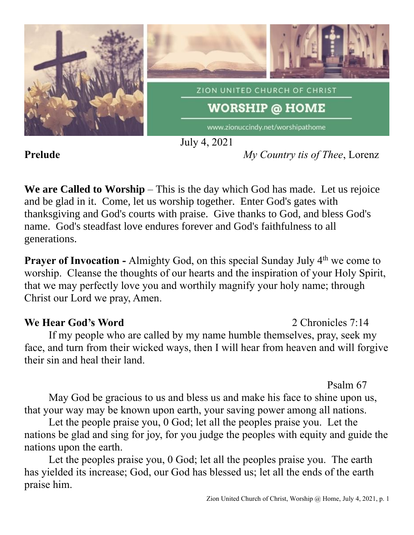

July 4, 2021

**Prelude** *My Country tis of Thee*, Lorenz

**We are Called to Worship** – This is the day which God has made. Let us rejoice and be glad in it. Come, let us worship together. Enter God's gates with thanksgiving and God's courts with praise. Give thanks to God, and bless God's name. God's steadfast love endures forever and God's faithfulness to all generations.

**Prayer of Invocation -** Almighty God, on this special Sunday July 4<sup>th</sup> we come to worship. Cleanse the thoughts of our hearts and the inspiration of your Holy Spirit, that we may perfectly love you and worthily magnify your holy name; through Christ our Lord we pray, Amen.

# **We Hear God's Word** 2 Chronicles 7:14

If my people who are called by my name humble themselves, pray, seek my face, and turn from their wicked ways, then I will hear from heaven and will forgive their sin and heal their land.

Psalm 67

May God be gracious to us and bless us and make his face to shine upon us, that your way may be known upon earth, your saving power among all nations.

Let the people praise you, 0 God; let all the peoples praise you. Let the nations be glad and sing for joy, for you judge the peoples with equity and guide the nations upon the earth.

Let the peoples praise you, 0 God; let all the peoples praise you. The earth has yielded its increase; God, our God has blessed us; let all the ends of the earth praise him.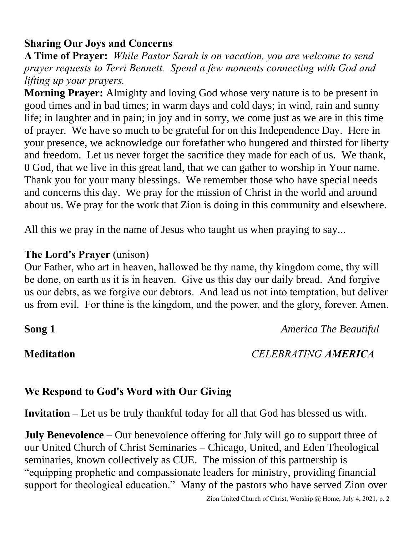# **Sharing Our Joys and Concerns**

**A Time of Prayer:** *While Pastor Sarah is on vacation, you are welcome to send prayer requests to Terri Bennett. Spend a few moments connecting with God and lifting up your prayers.*

**Morning Prayer:** Almighty and loving God whose very nature is to be present in good times and in bad times; in warm days and cold days; in wind, rain and sunny life; in laughter and in pain; in joy and in sorry, we come just as we are in this time of prayer. We have so much to be grateful for on this Independence Day. Here in your presence, we acknowledge our forefather who hungered and thirsted for liberty and freedom. Let us never forget the sacrifice they made for each of us. We thank, 0 God, that we live in this great land, that we can gather to worship in Your name. Thank you for your many blessings. We remember those who have special needs and concerns this day. We pray for the mission of Christ in the world and around about us. We pray for the work that Zion is doing in this community and elsewhere.

All this we pray in the name of Jesus who taught us when praying to say...

### **The Lord's Prayer** (unison)

Our Father, who art in heaven, hallowed be thy name, thy kingdom come, thy will be done, on earth as it is in heaven. Give us this day our daily bread. And forgive us our debts, as we forgive our debtors. And lead us not into temptation, but deliver us from evil. For thine is the kingdom, and the power, and the glory, forever. Amen.

**Song 1** *America The Beautiful*

## **Meditation** *CELEBRATING AMERICA*

## **We Respond to God's Word with Our Giving**

**Invitation –** Let us be truly thankful today for all that God has blessed us with.

**July Benevolence** – Our benevolence offering for July will go to support three of our United Church of Christ Seminaries – Chicago, United, and Eden Theological seminaries, known collectively as CUE. The mission of this partnership is "equipping prophetic and compassionate leaders for ministry, providing financial support for theological education." Many of the pastors who have served Zion over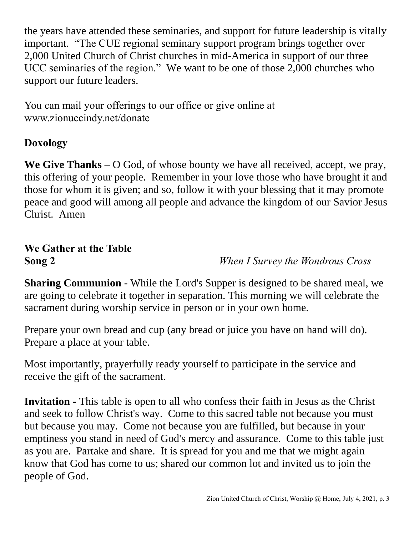the years have attended these seminaries, and support for future leadership is vitally important. "The CUE regional seminary support program brings together over 2,000 United Church of Christ churches in mid-America in support of our three UCC seminaries of the region." We want to be one of those 2,000 churches who support our future leaders.

You can mail your offerings to our office or give online at www.zionuccindy.net/donate

# **Doxology**

**We Give Thanks** – O God, of whose bounty we have all received, accept, we pray, this offering of your people. Remember in your love those who have brought it and those for whom it is given; and so, follow it with your blessing that it may promote peace and good will among all people and advance the kingdom of our Savior Jesus Christ. Amen

# **We Gather at the Table**

**Song 2** *When I Survey the Wondrous Cross*

**Sharing Communion -** While the Lord's Supper is designed to be shared meal, we are going to celebrate it together in separation. This morning we will celebrate the sacrament during worship service in person or in your own home.

Prepare your own bread and cup (any bread or juice you have on hand will do). Prepare a place at your table.

Most importantly, prayerfully ready yourself to participate in the service and receive the gift of the sacrament.

**Invitation -** This table is open to all who confess their faith in Jesus as the Christ and seek to follow Christ's way. Come to this sacred table not because you must but because you may. Come not because you are fulfilled, but because in your emptiness you stand in need of God's mercy and assurance. Come to this table just as you are. Partake and share. It is spread for you and me that we might again know that God has come to us; shared our common lot and invited us to join the people of God.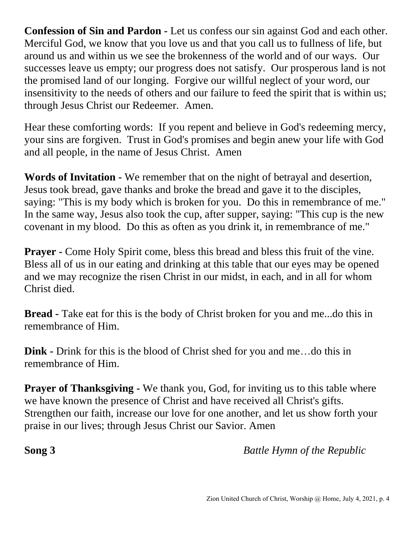**Confession of Sin and Pardon -** Let us confess our sin against God and each other. Merciful God, we know that you love us and that you call us to fullness of life, but around us and within us we see the brokenness of the world and of our ways. Our successes leave us empty; our progress does not satisfy. Our prosperous land is not the promised land of our longing. Forgive our willful neglect of your word, our insensitivity to the needs of others and our failure to feed the spirit that is within us; through Jesus Christ our Redeemer. Amen.

Hear these comforting words: If you repent and believe in God's redeeming mercy, your sins are forgiven. Trust in God's promises and begin anew your life with God and all people, in the name of Jesus Christ. Amen

**Words of Invitation -** We remember that on the night of betrayal and desertion, Jesus took bread, gave thanks and broke the bread and gave it to the disciples, saying: "This is my body which is broken for you. Do this in remembrance of me." In the same way, Jesus also took the cup, after supper, saying: "This cup is the new covenant in my blood. Do this as often as you drink it, in remembrance of me."

**Prayer -** Come Holy Spirit come, bless this bread and bless this fruit of the vine. Bless all of us in our eating and drinking at this table that our eyes may be opened and we may recognize the risen Christ in our midst, in each, and in all for whom Christ died.

**Bread -** Take eat for this is the body of Christ broken for you and me...do this in remembrance of Him.

**Dink -** Drink for this is the blood of Christ shed for you and me…do this in remembrance of Him.

**Prayer of Thanksgiving -** We thank you, God, for inviting us to this table where we have known the presence of Christ and have received all Christ's gifts. Strengthen our faith, increase our love for one another, and let us show forth your praise in our lives; through Jesus Christ our Savior. Amen

**Song 3** *Battle Hymn of the Republic*